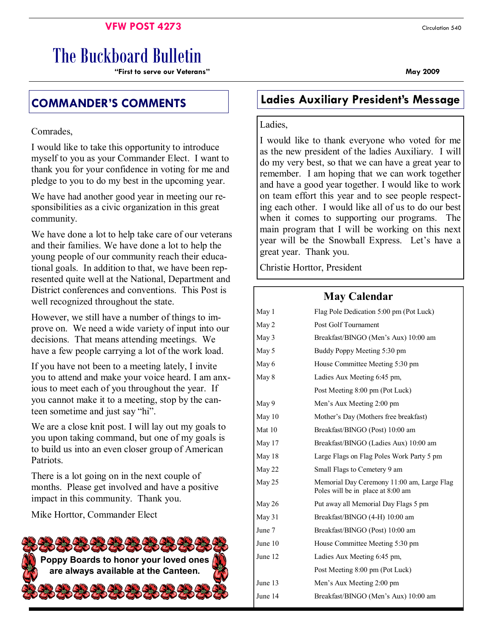# **VFW POST 4273** Circulation 540

# The Buckboard Bulletin

**"First to serve our Veterans" May 2009** 

Comrades,

I would like to take this opportunity to introduce myself to you as your Commander Elect. I want to thank you for your confidence in voting for me and pledge to you to do my best in the upcoming year.

We have had another good year in meeting our responsibilities as a civic organization in this great community.

We have done a lot to help take care of our veterans and their families. We have done a lot to help the young people of our community reach their educational goals. In addition to that, we have been represented quite well at the National, Department and District conferences and conventions. This Post is well recognized throughout the state.

However, we still have a number of things to improve on. We need a wide variety of input into our decisions. That means attending meetings. We have a few people carrying a lot of the work load.

If you have not been to a meeting lately, I invite you to attend and make your voice heard. I am anxious to meet each of you throughout the year. If you cannot make it to a meeting, stop by the canteen sometime and just say "hi".

We are a close knit post. I will lay out my goals to you upon taking command, but one of my goals is to build us into an even closer group of American **Patriots** 

There is a lot going on in the next couple of months. Please get involved and have a positive impact in this community. Thank you.

Mike Horttor, Commander Elect



# **COMMANDER'S COMMENTS Ladies Auxiliary President's Message**

Ladies,

I would like to thank everyone who voted for me as the new president of the ladies Auxiliary. I will do my very best, so that we can have a great year to remember. I am hoping that we can work together and have a good year together. I would like to work on team effort this year and to see people respecting each other. I would like all of us to do our best when it comes to supporting our programs. The main program that I will be working on this next year will be the Snowball Express. Let's have a great year. Thank you.

Christie Horttor, President

# **May Calendar**

|                                            | May 1     | Flag Pole Dedication 5:00 pm (Pot Luck)                                         |  |  |
|--------------------------------------------|-----------|---------------------------------------------------------------------------------|--|--|
|                                            | May 2     | Post Golf Tournament                                                            |  |  |
|                                            | May 3     | Breakfast/BINGO (Men's Aux) 10:00 am                                            |  |  |
| May 5                                      |           | Buddy Poppy Meeting 5:30 pm                                                     |  |  |
|                                            | May 6     | House Committee Meeting 5:30 pm                                                 |  |  |
|                                            | May 8     | Ladies Aux Meeting 6:45 pm,                                                     |  |  |
|                                            |           | Post Meeting 8:00 pm (Pot Luck)                                                 |  |  |
|                                            | May 9     | Men's Aux Meeting 2:00 pm                                                       |  |  |
|                                            | May 10    | Mother's Day (Mothers free breakfast)                                           |  |  |
|                                            | Mat 10    | Breakfast/BINGO (Post) 10:00 am                                                 |  |  |
| May 17                                     |           | Breakfast/BINGO (Ladies Aux) 10:00 am                                           |  |  |
| May 18                                     |           | Large Flags on Flag Poles Work Party 5 pm                                       |  |  |
|                                            | May 22    | Small Flags to Cemetery 9 am                                                    |  |  |
|                                            | May 25    | Memorial Day Ceremony 11:00 am, Large Flag<br>Poles will be in place at 8:00 am |  |  |
|                                            | May 26    | Put away all Memorial Day Flags 5 pm                                            |  |  |
| May $31$<br>Breakfast/BINGO (4-H) 10:00 am |           |                                                                                 |  |  |
|                                            | June 7    | Breakfast/BINGO (Post) 10:00 am                                                 |  |  |
|                                            | June $10$ | House Committee Meeting 5:30 pm                                                 |  |  |
|                                            | June 12   | Ladies Aux Meeting 6:45 pm,                                                     |  |  |
|                                            |           | Post Meeting 8:00 pm (Pot Luck)                                                 |  |  |
|                                            | June 13   | Men's Aux Meeting 2:00 pm                                                       |  |  |
|                                            | June 14   | Breakfast/BINGO (Men's Aux) 10:00 am                                            |  |  |
|                                            |           |                                                                                 |  |  |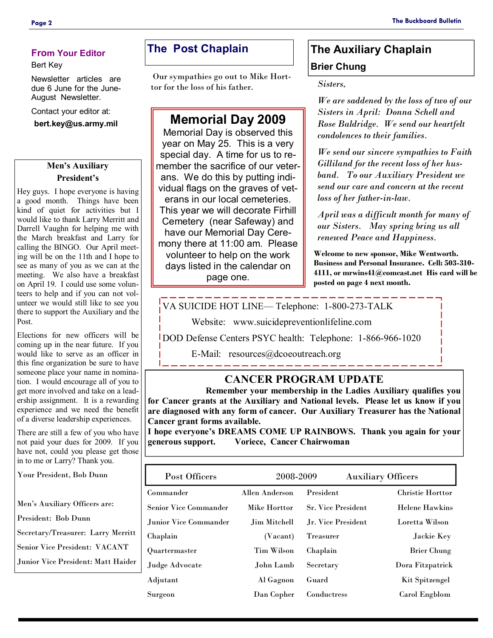#### **From Your Editor**

#### Bert Key

Newsletter articles are due 6 June for the June-August Newsletter.

Contact your editor at:

**bert.key@us.army.mil** 

### **Men's Auxiliary President's**

Hey guys. I hope everyone is having a good month. Things have been kind of quiet for activities but I would like to thank Larry Merritt and Darrell Vaughn for helping me with the March breakfast and Larry for calling the BINGO. Our April meeting will be on the 11th and I hope to see as many of you as we can at the meeting. We also have a breakfast on April 19. I could use some volunteers to help and if you can not volunteer we would still like to see you there to support the Auxiliary and the Post.

Elections for new officers will be coming up in the near future. If you would like to serve as an officer in this fine organization be sure to have someone place your name in nomination. I would encourage all of you to get more involved and take on a leadership assignment. It is a rewarding experience and we need the benefit of a diverse leadership experiences.

There are still a few of you who have not paid your dues for 2009. If you have not, could you please get those in to me or Larry? Thank you.

Your President, Bob Dunn

Men's Auxiliary Officers are:

President: Bob Dunn

Secretary/Treasurer: Larry Merritt

Senior Vice President: VACANT

Junior Vice President: Matt Haider

# **The Post Chaplain**

 Our sympathies go out to Mike Horttor for the loss of his father.

# **Memorial Day 2009**

Memorial Day is observed this year on May 25. This is a very special day. A time for us to remember the sacrifice of our veterans. We do this by putting individual flags on the graves of veterans in our local cemeteries. This year we will decorate Firhill Cemetery (near Safeway) and have our Memorial Day Ceremony there at 11:00 am. Please volunteer to help on the work days listed in the calendar on page one.

# **The Auxiliary Chaplain Brier Chung**

*Sisters,* 

*We are saddened by the loss of two of our Sisters in April: Donna Schell and Rose Baldridge. We send our heartfelt condolences to their families.* 

*We send our sincere sympathies to Faith Gilliland for the recent loss of her husband. To our Auxiliary President we send our care and concern at the recent loss of her father-in-law.* 

*April was a difficult month for many of our Sisters. May spring bring us all renewed Peace and Happiness.* 

**Welcome to new sponsor, Mike Wentworth. Business and Personal Insurance. Cell: 503-310- 4111, or mrwins41@comcast.net His card will be posted on page 4 next month.** 

VA SUICIDE HOT LINE— Telephone: 1-800-273-TALK

Website: www.suicidepreventionlifeline.com

DOD Defense Centers PSYC health: Telephone: 1-866-966-1020

E-Mail: resources@dcoeoutreach.org

# **CANCER PROGRAM UPDATE**

 **Remember your membership in the Ladies Auxiliary qualifies you for Cancer grants at the Auxiliary and National levels. Please let us know if you are diagnosed with any form of cancer. Our Auxiliary Treasurer has the National Cancer grant forms available.** 

**I hope everyone's DREAMS COME UP RAINBOWS. Thank you again for your generous support. Voriece, Cancer Chairwoman** 

| Post Officers         | 2008-2009         |                           | <b>Auxiliary Officers</b> |  |
|-----------------------|-------------------|---------------------------|---------------------------|--|
| Commander             | Allen Anderson    | President                 | <b>Christie Horttor</b>   |  |
| Senior Vice Commander | Mike Horttor      | <b>Sr. Vice President</b> | <b>Helene Hawkins</b>     |  |
| Junior Vice Commander | Jim Mitchell      | Jr. Vice President        | Loretta Wilson            |  |
| Chaplain              | (Vacant)          | <b>Treasurer</b>          | Jackie Key                |  |
| Quartermaster         | <b>Tim Wilson</b> | Chaplain                  | <b>Brier Chung</b>        |  |
| Judge Advocate        | John Lamb         | Secretary                 | Dora Fitzpatrick          |  |
| Adjutant              | Al Gagnon         | Guard                     | Kit Spitzengel            |  |
| Surgeon               | Dan Copher        | Conductress               | Carol Engblom             |  |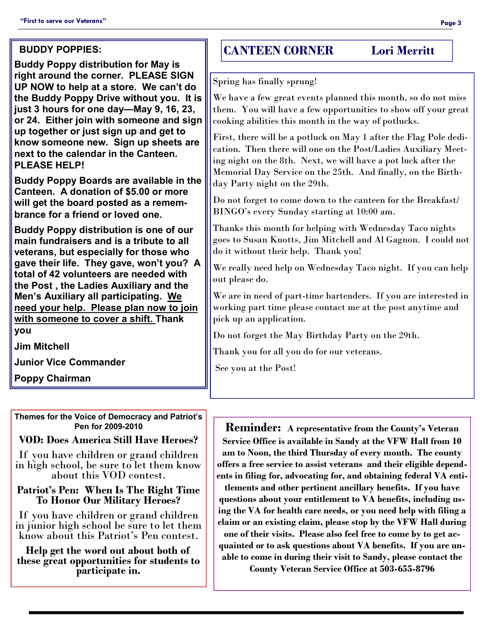#### **BUDDY POPPIES:**

**Buddy Poppy distribution for May is right around the corner. PLEASE SIGN UP NOW to help at a store. We can't do the Buddy Poppy Drive without you. It is just 3 hours for one day—May 9, 16, 23, or 24. Either join with someone and sign up together or just sign up and get to know someone new. Sign up sheets are next to the calendar in the Canteen. PLEASE HELP!** 

**Buddy Poppy Boards are available in the Canteen. A donation of \$5.00 or more will get the board posted as a remembrance for a friend or loved one.** 

**Buddy Poppy distribution is one of our main fundraisers and is a tribute to all veterans, but especially for those who gave their life. They gave, won't you? A total of 42 volunteers are needed with the Post , the Ladies Auxiliary and the Men's Auxiliary all participating. We need your help. Please plan now to join with someone to cover a shift. Thank you** 

**Jim Mitchell** 

**Junior Vice Commander** 

**Poppy Chairman** 

**Themes for the Voice of Democracy and Patriot's Pen for 2009-2010** 

# **VOD: Does America Still Have Heroes?**

If you have children or grand children in high school, be sure to let them know about this VOD contest.

#### **Patriot's Pen: When Is The Right Time To Honor Our Military Heroes?**

If you have children or grand children in junior high school be sure to let them know about this Patriot's Pen contest.

**Help get the word out about both of these great opportunities for students to participate in.**

# **CANTEEN CORNER Lori Merritt**

Spring has finally sprung!

We have a few great events planned this month, so do not miss them. You will have a few opportunities to show off your great cooking abilities this month in the way of potlucks.

First, there will be a potluck on May 1 after the Flag Pole dedication. Then there will one on the Post/Ladies Auxiliary Meeting night on the 8th. Next, we will have a pot luck after the Memorial Day Service on the 25th. And finally, on the Birthday Party night on the 29th.

Do not forget to come down to the canteen for the Breakfast/ BINGO's every Sunday starting at 10:00 am.

Thanks this month for helping with Wednesday Taco nights goes to Susan Knotts, Jim Mitchell and Al Gagnon. I could not do it without their help. Thank you!

We really need help on Wednesday Taco night. If you can help out please do.

We are in need of part-time bartenders. If you are interested in working part time please contact me at the post anytime and pick up an application.

Do not forget the May Birthday Party on the 29th.

Thank you for all you do for our veterans.

See you at the Post!

**Reminder: A representative from the County's Veteran Service Office is available in Sandy at the VFW Hall from 10 am to Noon, the third Thursday of every month. The county offers a free service to assist veterans and their eligible dependents in filing for, advocating for, and obtaining federal VA enti-**

**tlements and other pertinent ancillary benefits. If you have questions about your entitlement to VA benefits, including using the VA for health care needs, or you need help with filing a claim or an existing claim, please stop by the VFW Hall during one of their visits. Please also feel free to come by to get acquainted or to ask questions about VA benefits. If you are unable to come in during their visit to Sandy, please contact the** 

**County Veteran Service Office at 503-655-8796**